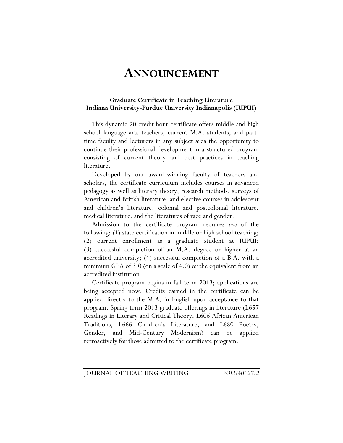## **ANNOUNCEMENT**

## **Graduate Certificate in Teaching Literature Indiana University-Purdue University Indianapolis (IUPUI)**

This dynamic 20-credit hour certificate offers middle and high school language arts teachers, current M.A. students, and parttime faculty and lecturers in any subject area the opportunity to continue their professional development in a structured program consisting of current theory and best practices in teaching literature.

Developed by our award-winning faculty of teachers and scholars, the certificate curriculum includes courses in advanced pedagogy as well as literary theory, research methods, surveys of American and British literature, and elective courses in adolescent and children's literature, colonial and postcolonial literature, medical literature, and the literatures of race and gender.

Admission to the certificate program requires *one* of the following: (1) state certification in middle or high school teaching; (2) current enrollment as a graduate student at IUPUI; (3) successful completion of an M.A. degree or higher at an accredited university; (4) successful completion of a B.A. with a minimum GPA of 3.0 (on a scale of 4.0) or the equivalent from an accredited institution.

Certificate program begins in fall term 2013; applications are being accepted now. Credits earned in the certificate can be applied directly to the M.A. in English upon acceptance to that program. Spring term 2013 graduate offerings in literature (L657 Readings in Literary and Critical Theory, L606 African American Traditions, L666 Children's Literature, and L680 Poetry, Gender, and Mid-Century Modernism) can be applied retroactively for those admitted to the certificate program.